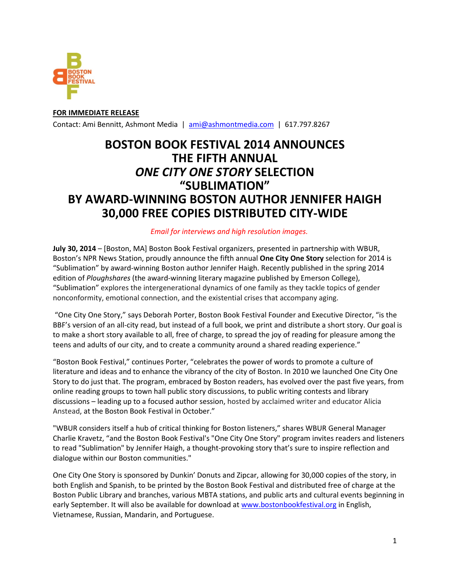

**FOR IMMEDIATE RELEASE**  Contact: Ami Bennitt, Ashmont Media | ami@ashmontmedia.com | 617.797.8267

# **BOSTON BOOK FESTIVAL 2014 ANNOUNCES THE FIFTH ANNUAL**  *ONE CITY ONE STORY* **SELECTION "SUBLIMATION" BY AWARD-WINNING BOSTON AUTHOR JENNIFER HAIGH 30,000 FREE COPIES DISTRIBUTED CITY-WIDE**

## *Email for interviews and high resolution images.*

**July 30, 2014** – [Boston, MA] Boston Book Festival organizers, presented in partnership with WBUR, Boston's NPR News Station, proudly announce the fifth annual **One City One Story** selection for 2014 is "Sublimation" by award-winning Boston author Jennifer Haigh. Recently published in the spring 2014 edition of *Ploughshares* (the award-winning literary magazine published by Emerson College), "Sublimation" explores the intergenerational dynamics of one family as they tackle topics of gender nonconformity, emotional connection, and the existential crises that accompany aging.

"One City One Story," says Deborah Porter, Boston Book Festival Founder and Executive Director, "is the BBF's version of an all-city read, but instead of a full book, we print and distribute a short story. Our goal is to make a short story available to all, free of charge, to spread the joy of reading for pleasure among the teens and adults of our city, and to create a community around a shared reading experience."

"Boston Book Festival," continues Porter, "celebrates the power of words to promote a culture of literature and ideas and to enhance the vibrancy of the city of Boston. In 2010 we launched One City One Story to do just that. The program, embraced by Boston readers, has evolved over the past five years, from online reading groups to town hall public story discussions, to public writing contests and library discussions – leading up to a focused author session, hosted by acclaimed writer and educator Alicia Anstead, at the Boston Book Festival in October."

"WBUR considers itself a hub of critical thinking for Boston listeners," shares WBUR General Manager Charlie Kravetz, "and the Boston Book Festival's "One City One Story" program invites readers and listeners to read "Sublimation" by Jennifer Haigh, a thought-provoking story that's sure to inspire reflection and dialogue within our Boston communities."

One City One Story is sponsored by Dunkin' Donuts and Zipcar, allowing for 30,000 copies of the story, in both English and Spanish, to be printed by the Boston Book Festival and distributed free of charge at the Boston Public Library and branches, various MBTA stations, and public arts and cultural events beginning in early September. It will also be available for download at www.bostonbookfestival.org in English, Vietnamese, Russian, Mandarin, and Portuguese.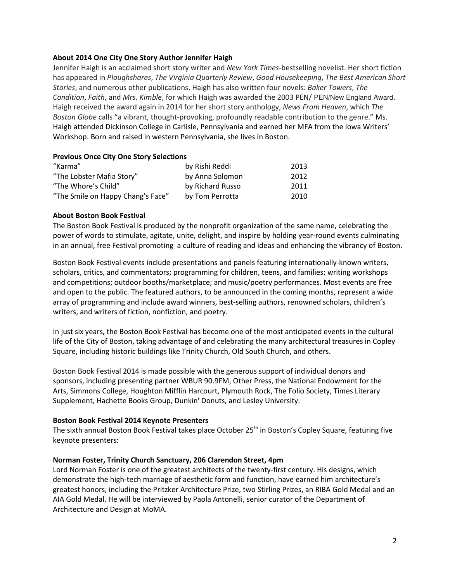## **About 2014 One City One Story Author Jennifer Haigh**

Jennifer Haigh is an acclaimed short story writer and *New York Times*-bestselling novelist. Her short fiction has appeared in *Ploughshares*, *The Virginia Quarterly Review*, *Good Housekeeping*, *The Best American Short Stories*, and numerous other publications. Haigh has also written four novels: *Baker Towers*, *The Condition*, *Faith*, and *Mrs. Kimble*, for which Haigh was awarded the 2003 PEN/ PEN/New England Award. Haigh received the award again in 2014 for her short story anthology, *News From Heaven*, which *The Boston Globe* calls "a vibrant, thought-provoking, profoundly readable contribution to the genre." Ms. Haigh attended Dickinson College in Carlisle, Pennsylvania and earned her MFA from the Iowa Writers' Workshop. Born and raised in western Pennsylvania, she lives in Boston.

#### **Previous Once City One Story Selections**

| "Karma"                           | by Rishi Reddi   | 2013 |
|-----------------------------------|------------------|------|
| "The Lobster Mafia Story"         | by Anna Solomon  | 2012 |
| "The Whore's Child"               | by Richard Russo | 2011 |
| "The Smile on Happy Chang's Face" | by Tom Perrotta  | 2010 |

## **About Boston Book Festival**

The Boston Book Festival is produced by the nonprofit organization of the same name, celebrating the power of words to stimulate, agitate, unite, delight, and inspire by holding year-round events culminating in an annual, free Festival promoting a culture of reading and ideas and enhancing the vibrancy of Boston.

Boston Book Festival events include presentations and panels featuring internationally-known writers, scholars, critics, and commentators; programming for children, teens, and families; writing workshops and competitions; outdoor booths/marketplace; and music/poetry performances. Most events are free and open to the public. The featured authors, to be announced in the coming months, represent a wide array of programming and include award winners, best-selling authors, renowned scholars, children's writers, and writers of fiction, nonfiction, and poetry.

In just six years, the Boston Book Festival has become one of the most anticipated events in the cultural life of the City of Boston, taking advantage of and celebrating the many architectural treasures in Copley Square, including historic buildings like Trinity Church, Old South Church, and others.

Boston Book Festival 2014 is made possible with the generous support of individual donors and sponsors, including presenting partner WBUR 90.9FM, Other Press, the National Endowment for the Arts, Simmons College, Houghton Mifflin Harcourt, Plymouth Rock, The Folio Society, Times Literary Supplement, Hachette Books Group, Dunkin' Donuts, and Lesley University.

#### **Boston Book Festival 2014 Keynote Presenters**

The sixth annual Boston Book Festival takes place October 25<sup>th</sup> in Boston's Copley Square, featuring five keynote presenters:

#### **Norman Foster, Trinity Church Sanctuary, 206 Clarendon Street, 4pm**

Lord Norman Foster is one of the greatest architects of the twenty-first century. His designs, which demonstrate the high-tech marriage of aesthetic form and function, have earned him architecture's greatest honors, including the Pritzker Architecture Prize, two Stirling Prizes, an RIBA Gold Medal and an AIA Gold Medal. He will be interviewed by Paola Antonelli, senior curator of the Department of Architecture and Design at MoMA.